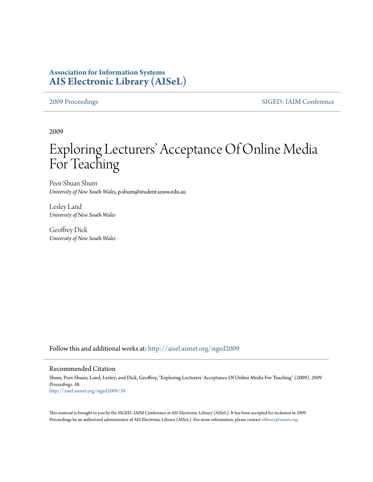# **Association for Information Systems [AIS Electronic Library \(AISeL\)](http://aisel.aisnet.org?utm_source=aisel.aisnet.org%2Fsiged2009%2F38&utm_medium=PDF&utm_campaign=PDFCoverPages)**

[2009 Proceedings](http://aisel.aisnet.org/siged2009?utm_source=aisel.aisnet.org%2Fsiged2009%2F38&utm_medium=PDF&utm_campaign=PDFCoverPages) [SIGED: IAIM Conference](http://aisel.aisnet.org/siged?utm_source=aisel.aisnet.org%2Fsiged2009%2F38&utm_medium=PDF&utm_campaign=PDFCoverPages)

2009

# Exploring Lecturers' Acceptance Of Online Media For Teaching

Peoi-Shuan Shum *University of New South Wales*, p.shum@student.unsw.edu.au

Lesley Land *University of New South Wales*

Geoffrey Dick *University of New South Wales*

Follow this and additional works at: [http://aisel.aisnet.org/siged2009](http://aisel.aisnet.org/siged2009?utm_source=aisel.aisnet.org%2Fsiged2009%2F38&utm_medium=PDF&utm_campaign=PDFCoverPages)

### Recommended Citation

Shum, Peoi-Shuan; Land, Lesley; and Dick, Geoffrey, "Exploring Lecturers' Acceptance Of Online Media For Teaching" (2009). *2009 Proceedings*. 38. [http://aisel.aisnet.org/siged2009/38](http://aisel.aisnet.org/siged2009/38?utm_source=aisel.aisnet.org%2Fsiged2009%2F38&utm_medium=PDF&utm_campaign=PDFCoverPages)

This material is brought to you by the SIGED: IAIM Conference at AIS Electronic Library (AISeL). It has been accepted for inclusion in 2009 Proceedings by an authorized administrator of AIS Electronic Library (AISeL). For more information, please contact [elibrary@aisnet.org](mailto:elibrary@aisnet.org%3E).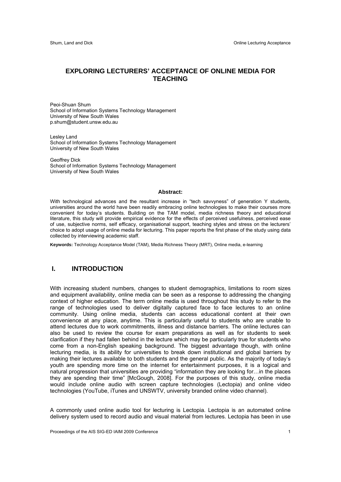# **EXPLORING LECTURERS' ACCEPTANCE OF ONLINE MEDIA FOR TEACHING**

Peoi-Shuan Shum School of Information Systems Technology Management University of New South Wales p.shum@student.unsw.edu.au

Lesley Land School of Information Systems Technology Management University of New South Wales

Geoffrey Dick School of Information Systems Technology Management University of New South Wales

#### **Abstract:**

With technological advances and the resultant increase in "tech say veness" of generation Y students, universities around the world have been readily embracing online technologies to make their courses more convenient for today's students. Building on the TAM model, media richness theory and educational literature, this study will provide empirical evidence for the effects of perceived usefulness, perceived ease of use, subjective norms, self efficacy, organisational support, teaching styles and stress on the lecturers' choice to adopt usage of online media for lecturing. This paper reports the first phase of the study using data collected by interviewing academic staff.

**Keywords:** Technology Acceptance Model (TAM), Media Richness Theory (MRT), Online media, e-learning

# **I. INTRODUCTION**

With increasing student numbers, changes to student demographics, limitations to room sizes and equipment availability, online media can be seen as a response to addressing the changing context of higher education. The term online media is used throughout this study to refer to the range of technologies used to deliver digitally captured face to face lectures to an online community. Using online media, students can access educational content at their own convenience at any place, anytime. This is particularly useful to students who are unable to attend lectures due to work commitments, illness and distance barriers. The online lectures can also be used to review the course for exam preparations as well as for students to seek clarification if they had fallen behind in the lecture which may be particularly true for students who come from a non-English speaking background. The biggest advantage though, with online lecturing media, is its ability for universities to break down institutional and global barriers by making their lectures available to both students and the general public. As the majority of today's youth are spending more time on the internet for entertainment purposes, it is a logical and natural progression that universities are providing "information they are looking for…in the places they are spending their time" [McGough, 2008]. For the purposes of this study, online media would include online audio with screen capture technologies (Lectopia) and online video technologies (YouTube, iTunes and UNSWTV, university branded online video channel).

A commonly used online audio tool for lecturing is Lectopia. Lectopia is an automated online delivery system used to record audio and visual material from lectures. Lectopia has been in use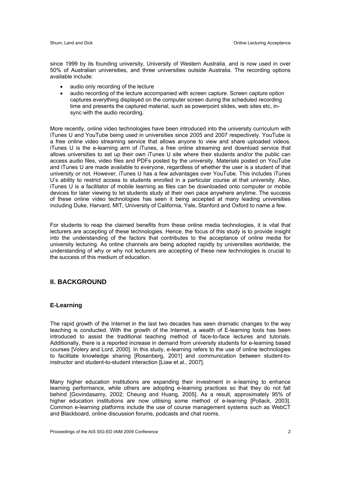since 1999 by its founding university, University of Western Australia, and is now used in over 50% of Australian universities, and three universities outside Australia. The recording options available include:

- audio only recording of the lecture
- audio recording of the lecture accompanied with screen capture. Screen capture option captures everything displayed on the computer screen during the scheduled recording time and presents the captured material, such as powerpoint slides, web sites etc, insync with the audio recording.

More recently, online video technologies have been introduced into the university curriculum with iTunes U and YouTube being used in universities since 2005 and 2007 respectively. YouTube is a free online video streaming service that allows anyone to view and share uploaded videos. iTunes U is the e-learning arm of iTunes, a free online streaming and download service that allows universities to set up their own iTunes U site where their students and/or the public can access audio files, video files and PDFs posted by the university. Materials posted on YouTube and iTunes U are made available to everyone, regardless of whether the user is a student of that university or not. However, iTunes U has a few advantages over YouTube. This includes iTunes U's ability to restrict access to students enrolled in a particular course at that university. Also, iTunes U is a facilitator of mobile learning as files can be downloaded onto computer or mobile devices for later viewing to let students study at their own pace anywhere anytime. The success of these online video technologies has seen it being accepted at many leading universities including Duke, Harvard, MIT, University of California, Yale, Stanford and Oxford to name a few.

For students to reap the claimed benefits from these online media technologies, it is vital that lecturers are accepting of these technologies. Hence, the focus of this study is to provide insight into the understanding of the factors that contributes to the acceptance of online media for university lecturing. As online channels are being adopted rapidly by universities worldwide, the understanding of why or why not lecturers are accepting of these new technologies is crucial to the success of this medium of education.

# **II. BACKGROUND**

#### **E-Learning**

The rapid growth of the Internet in the last two decades has seen dramatic changes to the way teaching is conducted. With the growth of the Internet, a wealth of E-learning tools has been introduced to assist the traditional teaching method of face-to-face lectures and tutorials. Additionally, there is a reported increase in demand from university students for e-learning based courses [Volery and Lord, 2000]. In this study, e-learning refers to the use of online technologies to facilitate knowledge sharing [Rosenberg, 2001] and communication between student-toinstructor and student-to-student interaction [Liaw et al., 2007].

Many higher education institutions are expanding their investment in e-learning to enhance learning performance, while others are adopting e-learning practices so that they do not fall behind [Govindasamy, 2002; Cheung and Huang, 2005]. As a result, approximately 95% of higher education institutions are now utilising some method of e-learning [Pollack, 2003]. Common e-learning platforms include the use of course management systems such as WebCT and Blackboard, online discussion forums, podcasts and chat rooms.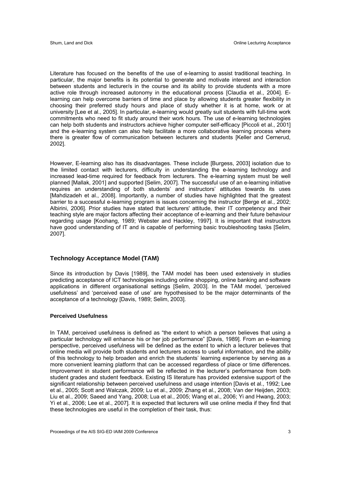Literature has focused on the benefits of the use of e-learning to assist traditional teaching. In particular, the major benefits is its potential to generate and motivate interest and interaction between students and lecturer/s in the course and its ability to provide students with a more active role through increased autonomy in the educational process [Claudia et al., 2004]. Elearning can help overcome barriers of time and place by allowing students greater flexibility in choosing their preferred study hours and place of study whether it is at home, work or at university [Lee et al., 2005]. In particular, e-learning would greatly suit students with full-time work commitments who need to fit study around their work hours. The use of e-learning technologies can help both students and instructors achieve higher computer self-efficacy [Piccoli et al., 2001] and the e-learning system can also help facilitate a more collaborative learning process where there is greater flow of communication between lecturers and students [Keller and Cernerud, 2002].

However, E-learning also has its disadvantages. These include [Burgess, 2003] isolation due to the limited contact with lecturers, difficulty in understanding the e-learning technology and increased lead-time required for feedback from lecturers. The e-learning system must be well planned [Mallak, 2001] and supported [Selim, 2007]. The successful use of an e-learning initiative requires an understanding of both students' and instructors' attitudes towards its uses [Mahdizadeh et al., 2008]. Importantly, a number of studies have highlighted that the greatest barrier to a successful e-learning program is issues concerning the instructor [Berge et al., 2002; Albirini, 2006]. Prior studies have stated that lecturers' attitude, their IT competency and their teaching style are major factors affecting their acceptance of e-learning and their future behaviour regarding usage [Koohang, 1989; Webster and Hackley, 1997]. It is important that instructors have good understanding of IT and is capable of performing basic troubleshooting tasks [Selim, 2007].

#### **Technology Acceptance Model (TAM)**

Since its introduction by Davis [1989], the TAM model has been used extensively in studies predicting acceptance of ICT technologies including online shopping, online banking and software applications in different organisational settings [Selim, 2003]. In the TAM model, 'perceived usefulness' and 'perceived ease of use' are hypothesised to be the major determinants of the acceptance of a technology [Davis, 1989; Selim, 2003].

#### **Perceived Usefulness**

In TAM, perceived usefulness is defined as "the extent to which a person believes that using a particular technology will enhance his or her job performance" [Davis, 1989]. From an e-learning perspective, perceived usefulness will be defined as the extent to which a lecturer believes that online media will provide both students and lecturers access to useful information, and the ability of this technology to help broaden and enrich the students' learning experience by serving as a more convenient learning platform that can be accessed regardless of place or time differences. Improvement in student performance will be reflected in the lecturer's performance from both student grades and student feedback. Existing IS literature has provided extensive support of the significant relationship between perceived usefulness and usage intention [Davis et al., 1992; Lee et al., 2005; Scott and Walczak, 2009; Lu et al., 2009; Zhang et al., 2008; Van der Heijden, 2003; Liu et al., 2009; Saeed and Yang, 2008; Lua et al., 2005; Wang et al., 2006; Yi and Hwang, 2003; Yi et al., 2006; Lee et al., 2007]. It is expected that lecturers will use online media if they find that these technologies are useful in the completion of their task, thus: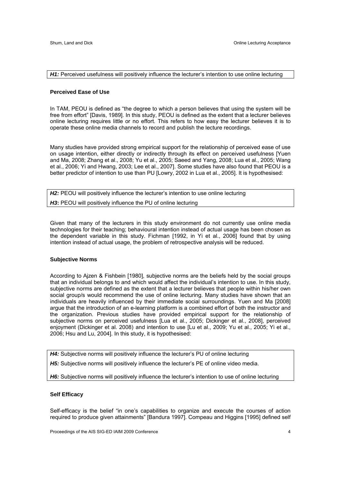#### *H1:* Perceived usefulness will positively influence the lecturer's intention to use online lecturing

#### **Perceived Ease of Use**

In TAM, PEOU is defined as "the degree to which a person believes that using the system will be free from effort" [Davis, 1989]. In this study, PEOU is defined as the extent that a lecturer believes online lecturing requires little or no effort. This refers to how easy the lecturer believes it is to operate these online media channels to record and publish the lecture recordings.

Many studies have provided strong empirical support for the relationship of perceived ease of use on usage intention, either directly or indirectly through its effect on perceived usefulness [Yuen and Ma, 2008; Zhang et al., 2008; Yu et al., 2005; Saeed and Yang, 2008; Lua et al., 2005; Wang et al., 2006; Yi and Hwang, 2003; Lee et al., 2007]. Some studies have also found that PEOU is a better predictor of intention to use than PU [Lowry, 2002 in Lua et al., 2005]. It is hypothesised:

*H2:* PEOU will positively influence the lecturer's intention to use online lecturing *H3***:** PEOU will positively influence the PU of online lecturing

Given that many of the lecturers in this study environment do not currently use online media technologies for their teaching; behavioural intention instead of actual usage has been chosen as the dependent variable in this study. Fichman [1992, in Yi et al., 2006] found that by using intention instead of actual usage, the problem of retrospective analysis will be reduced.

#### **Subjective Norms**

According to Ajzen & Fishbein [1980], subjective norms are the beliefs held by the social groups that an individual belongs to and which would affect the individual's intention to use. In this study, subjective norms are defined as the extent that a lecturer believes that people within his/her own social group/s would recommend the use of online lecturing. Many studies have shown that an individuals are heavily influenced by their immediate social surroundings. Yuen and Ma [2008] argue that the introduction of an e-learning platform is a combined effort of both the instructor and the organization. Previous studies have provided empirical support for the relationship of subjective norms on perceived usefulness [Lua et al., 2005; Dickinger et al., 2008], perceived enjoyment (Dickinger et al. 2008) and intention to use [Lu et al., 2009; Yu et al., 2005; Yi et al., 2006; Hsu and Lu, 2004]. In this study, it is hypothesised:

**H4:** Subjective norms will positively influence the lecturer's PU of online lecturing

H5: Subjective norms will positively influence the lecturer's PE of online video media.

H6: Subjective norms will positively influence the lecturer's intention to use of online lecturing

#### **Self Efficacy**

Self-efficacy is the belief "in one's capabilities to organize and execute the courses of action required to produce given attainments" [Bandura 1997]. Compeau and Higgins [1995] defined self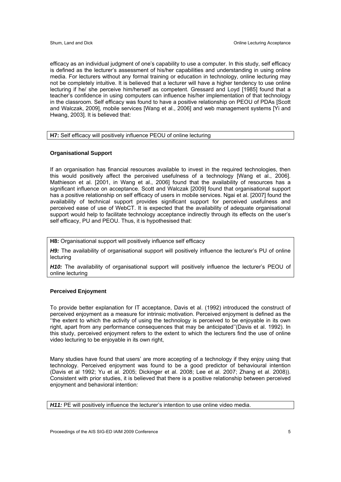efficacy as an individual judgment of one's capability to use a computer. In this study, self efficacy is defined as the lecturer's assessment of his/her capabilities and understanding in using online media. For lecturers without any formal training or education in technology, online lecturing may not be completely intuitive. It is believed that a lecturer will have a higher tendency to use online lecturing if he/ she perceive him/herself as competent. Gressard and Loyd [1985] found that a teacher's confidence in using computers can influence his/her implementation of that technology in the classroom. Self efficacy was found to have a positive relationship on PEOU of PDAs [Scott and Walczak, 2009], mobile services [Wang et al., 2006] and web management systems [Yi and Hwang, 2003]. It is believed that:

#### **H7:** Self efficacy will positively influence PEOU of online lecturing

#### **Organisational Support**

If an organisation has financial resources available to invest in the required technologies, then this would positively affect the perceived usefulness of a technology [Wang et al., 2006]. Mathieson et al. [2001, in Wang et al., 2006] found that the availability of resources has a significant influence on acceptance. Scott and Walczak [2009] found that organisational support has a positive relationship on self efficacy of users in mobile services. Ngai et al. [2007] found the availability of technical support provides significant support for perceived usefulness and perceived ease of use of WebCT. It is expected that the availability of adequate organisational support would help to facilitate technology acceptance indirectly through its effects on the user's self efficacy, PU and PEOU. Thus, it is hypothesised that:

**H8:** Organisational support will positively influence self efficacy

H9: The availability of organisational support will positively influence the lecturer's PU of online lecturing

*H10:* The availability of organisational support will positively influence the lecturer's PEOU of online lecturing

#### **Perceived Enjoyment**

To provide better explanation for IT acceptance, Davis et al. (1992) introduced the construct of perceived enjoyment as a measure for intrinsic motivation. Perceived enjoyment is defined as the ''the extent to which the activity of using the technology is perceived to be enjoyable in its own right, apart from any performance consequences that may be anticipated''(Davis et al. 1992). In this study, perceived enjoyment refers to the extent to which the lecturers find the use of online video lecturing to be enjoyable in its own right,

Many studies have found that users' are more accepting of a technology if they enjoy using that technology. Perceived enjoyment was found to be a good predictor of behavioural intention (Davis et al 1992; Yu et al. 2005; Dickinger et al. 2008; Lee et al. 2007; Zhang et al. 2008)). Consistent with prior studies, it is believed that there is a positive relationship between perceived enjoyment and behavioral intention:

*H11:* PE will positively influence the lecturer's intention to use online video media.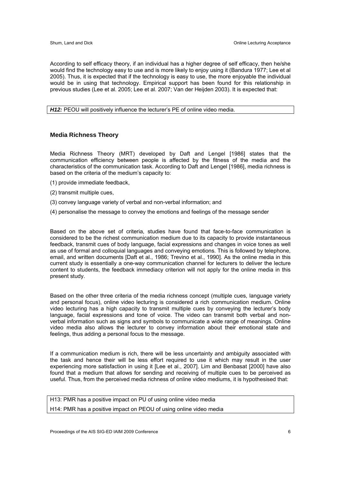According to self efficacy theory, if an individual has a higher degree of self efficacy, then he/she would find the technology easy to use and is more likely to enjoy using it (Bandura 1977; Lee et al 2005). Thus, it is expected that if the technology is easy to use, the more enjoyable the individual would be in using that technology. Empirical support has been found for this relationship in previous studies (Lee et al. 2005; Lee et al. 2007; Van der Heijden 2003). It is expected that:

**H12:** PEOU will positively influence the lecturer's PE of online video media.

#### **Media Richness Theory**

Media Richness Theory (MRT) developed by Daft and Lengel [1986] states that the communication efficiency between people is affected by the fitness of the media and the characteristics of the communication task. According to Daft and Lengel [1986], media richness is based on the criteria of the medium's capacity to:

- (1) provide immediate feedback,
- (2) transmit multiple cues,
- (3) convey language variety of verbal and non-verbal information; and
- (4) personalise the message to convey the emotions and feelings of the message sender

Based on the above set of criteria, studies have found that face-to-face communication is considered to be the richest communication medium due to its capacity to provide instantaneous feedback, transmit cues of body language, facial expressions and changes in voice tones as well as use of formal and colloquial languages and conveying emotions. This is followed by telephone, email, and written documents [Daft et al., 1986; Trevino et al., 1990]. As the online media in this current study is essentially a one-way communication channel for lecturers to deliver the lecture content to students, the feedback immediacy criterion will not apply for the online media in this present study.

Based on the other three criteria of the media richness concept (multiple cues, language variety and personal focus), online video lecturing is considered a rich communication medium. Online video lecturing has a high capacity to transmit multiple cues by conveying the lecturer's body language, facial expressions and tone of voice. The video can transmit both verbal and nonverbal information such as signs and symbols to communicate a wide range of meanings. Online video media also allows the lecturer to convey information about their emotional state and feelings, thus adding a personal focus to the message.

If a communication medium is rich, there will be less uncertainty and ambiguity associated with the task and hence their will be less effort required to use it which may result in the user experiencing more satisfaction in using it [Lee et al., 2007]. Lim and Benbasat [2000] have also found that a medium that allows for sending and receiving of multiple cues to be perceived as useful. Thus, from the perceived media richness of online video mediums, it is hypothesised that:

| H13: PMR has a positive impact on PU of using online video media   |  |  |
|--------------------------------------------------------------------|--|--|
| H14: PMR has a positive impact on PEOU of using online video media |  |  |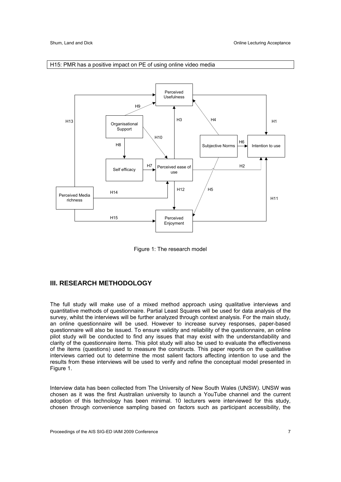

#### H15: PMR has a positive impact on PE of using online video media

Figure 1: The research model

# **III. RESEARCH METHODOLOGY**

The full study will make use of a mixed method approach using qualitative interviews and quantitative methods of questionnaire. Partial Least Squares will be used for data analysis of the survey, whilst the interviews will be further analyzed through context analysis. For the main study, an online questionnaire will be used. However to increase survey responses, paper-based questionnaire will also be issued. To ensure validity and reliability of the questionnaire, an online pilot study will be conducted to find any issues that may exist with the understandability and clarity of the questionnaire items. This pilot study will also be used to evaluate the effectiveness of the items (questions) used to measure the constructs. This paper reports on the qualitative interviews carried out to determine the most salient factors affecting intention to use and the results from these interviews will be used to verify and refine the conceptual model presented in Figure 1.

Interview data has been collected from The University of New South Wales (UNSW). UNSW was chosen as it was the first Australian university to launch a YouTube channel and the current adoption of this technology has been minimal. 10 lecturers were interviewed for this study, chosen through convenience sampling based on factors such as participant accessibility, the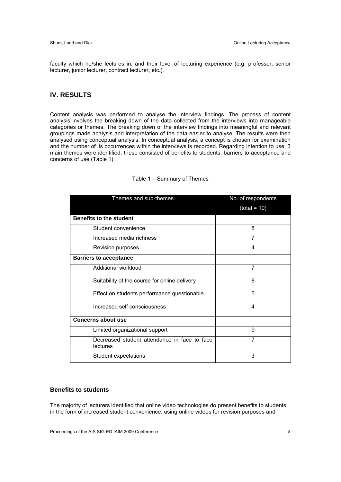faculty which he/she lectures in, and their level of lecturing experience (e.g. professor, senior lecturer, junior lecturer, contract lecturer, etc.).

### **IV. RESULTS**

Content analysis was performed to analyse the interview findings. The process of content analysis involves the breaking down of the data collected from the interviews into manageable categories or themes. The breaking down of the interview findings into meaningful and relevant groupings made analysis and interpretation of the data easier to analyse. The results were then analysed using conceptual analysis. In conceptual analysis, a concept is chosen for examination and the number of its occurrences within the interviews is recorded. Regarding intention to use, 3 main themes were identified; these consisted of benefits to students, barriers to acceptance and concerns of use (Table 1).

| Themes and sub-themes                                           | No. of respondents |
|-----------------------------------------------------------------|--------------------|
|                                                                 | $(total = 10)$     |
| <b>Benefits to the student</b>                                  |                    |
| Student convenience                                             | 8                  |
| Increased media richness                                        |                    |
| Revision purposes                                               | 4                  |
| <b>Barriers to acceptance</b>                                   |                    |
| Additional workload                                             | 7                  |
| Suitability of the course for online delivery                   | 8                  |
| Effect on students performance questionable                     | 5                  |
| Increased self consciousness                                    | 4                  |
| <b>Concerns about use</b>                                       |                    |
| Limited organizational support                                  | 9                  |
| Decreased student attendance in face to face<br><b>lectures</b> | 7                  |
| Student expectations                                            | 3                  |

#### Table 1 – Summary of Themes

# **Benefits to students**

The majority of lecturers identified that online video technologies do present benefits to students in the form of increased student convenience, using online videos for revision purposes and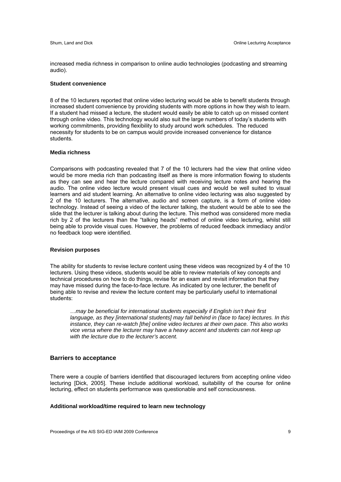increased media richness in comparison to online audio technologies (podcasting and streaming audio).

#### **Student convenience**

8 of the 10 lecturers reported that online video lecturing would be able to benefit students through increased student convenience by providing students with more options in how they wish to learn. If a student had missed a lecture, the student would easily be able to catch up on missed content through online video. This technology would also suit the large numbers of today's students with working commitments, providing flexibility to study around work schedules. The reduced necessity for students to be on campus would provide increased convenience for distance students.

#### **Media richness**

Comparisons with podcasting revealed that 7 of the 10 lecturers had the view that online video would be more media rich than podcasting itself as there is more information flowing to students as they can see and hear the lecture compared with receiving lecture notes and hearing the audio. The online video lecture would present visual cues and would be well suited to visual learners and aid student learning. An alternative to online video lecturing was also suggested by 2 of the 10 lecturers. The alternative, audio and screen capture, is a form of online video technology. Instead of seeing a video of the lecturer talking, the student would be able to see the slide that the lecturer is talking about during the lecture. This method was considered more media rich by 2 of the lecturers than the "talking heads" method of online video lecturing, whilst still being able to provide visual cues. However, the problems of reduced feedback immediacy and/or no feedback loop were identified.

#### **Revision purposes**

The ability for students to revise lecture content using these videos was recognized by 4 of the 10 lecturers. Using these videos, students would be able to review materials of key concepts and technical procedures on how to do things, revise for an exam and revisit information that they may have missed during the face-to-face lecture. As indicated by one lecturer, the benefit of being able to revise and review the lecture content may be particularly useful to international students:

…*may be beneficial for international students especially if English isn't their first language, as they [international students] may fall behind in (face to face) lectures. In this instance, they can re-watch [the] online video lectures at their own pace. This also works vice versa where the lecturer may have a heavy accent and students can not keep up with the lecture due to the lecturer's accent.*

#### **Barriers to acceptance**

There were a couple of barriers identified that discouraged lecturers from accepting online video lecturing [Dick, 2005]. These include additional workload, suitability of the course for online lecturing, effect on students performance was questionable and self consciousness.

#### **Additional workload/time required to learn new technology**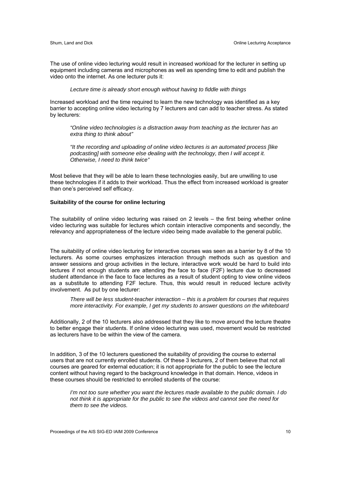The use of online video lecturing would result in increased workload for the lecturer in setting up equipment including cameras and microphones as well as spending time to edit and publish the video onto the internet. As one lecturer puts it:

*Lecture time is already short enough without having to fiddle with things* 

Increased workload and the time required to learn the new technology was identified as a key barrier to accepting online video lecturing by 7 lecturers and can add to teacher stress. As stated by lecturers:

*"Online video technologies is a distraction away from teaching as the lecturer has an extra thing to think about"* 

*"It the recording and uploading of online video lectures is an automated process [like podcasting] with someone else dealing with the technology, then I will accept it. Otherwise, I need to think twice"* 

Most believe that they will be able to learn these technologies easily, but are unwilling to use these technologies if it adds to their workload. Thus the effect from increased workload is greater than one's perceived self efficacy.

#### **Suitability of the course for online lecturing**

The suitability of online video lecturing was raised on 2 levels – the first being whether online video lecturing was suitable for lectures which contain interactive components and secondly, the relevancy and appropriateness of the lecture video being made available to the general public.

The suitability of online video lecturing for interactive courses was seen as a barrier by 8 of the 10 lecturers. As some courses emphasizes interaction through methods such as question and answer sessions and group activities in the lecture, interactive work would be hard to build into lectures if not enough students are attending the face to face (F2F) lecture due to decreased student attendance in the face to face lectures as a result of student opting to view online videos as a substitute to attending F2F lecture. Thus, this would result in reduced lecture activity involvement. As put by one lecturer:

*There will be less student-teacher interaction – this is a problem for courses that requires more interactivity. For example, I get my students to answer questions on the whiteboard* 

Additionally, 2 of the 10 lecturers also addressed that they like to move around the lecture theatre to better engage their students. If online video lecturing was used, movement would be restricted as lecturers have to be within the view of the camera.

In addition, 3 of the 10 lecturers questioned the suitability of providing the course to external users that are not currently enrolled students. Of these 3 lecturers, 2 of them believe that not all courses are geared for external education; it is not appropriate for the public to see the lecture content without having regard to the background knowledge in that domain. Hence, videos in these courses should be restricted to enrolled students of the course:

*I'm not too sure whether you want the lectures made available to the public domain. I do not think it is appropriate for the public to see the videos and cannot see the need for them to see the videos.*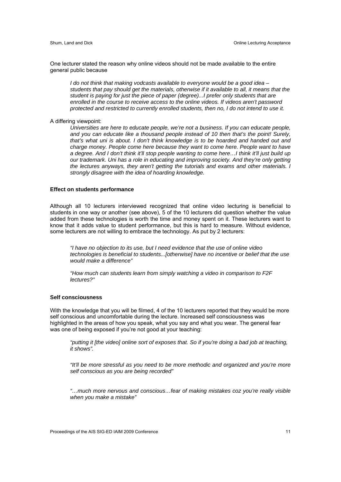One lecturer stated the reason why online videos should not be made available to the entire general public because

*I do not think that making vodcasts available to everyone would be a good idea – students that pay should get the materials, otherwise if it available to all, it means that the student is paying for just the piece of paper (degree)...I prefer only students that are enrolled in the course to receive access to the online videos. If videos aren't password protected and restricted to currently enrolled students, then no, I do not intend to use it.* 

A differing viewpoint:

*Universities are here to educate people, we're not a business. If you can educate people, and you can educate like a thousand people instead of 10 then that's the point! Surely, that's what uni is about. I don't think knowledge is to be hoarded and handed out and charge money. People come here because they want to come here. People want to have a degree. And I don't think it'll stop people wanting to come here…I think it'll just build up our trademark. Uni has a role in educating and improving society. And they're only getting the lectures anyways, they aren't getting the tutorials and exams and other materials. I strongly disagree with the idea of hoarding knowledge.* 

#### **Effect on students performance**

Although all 10 lecturers interviewed recognized that online video lecturing is beneficial to students in one way or another (see above), 5 of the 10 lecturers did question whether the value added from these technologies is worth the time and money spent on it. These lecturers want to know that it adds value to student performance, but this is hard to measure. Without evidence, some lecturers are not willing to embrace the technology. As put by 2 lecturers:

*"I have no objection to its use, but I need evidence that the use of online video technologies is beneficial to students...[otherwise] have no incentive or belief that the use would make a difference"* 

*"How much can students learn from simply watching a video in comparison to F2F lectures?"* 

#### **Self consciousness**

With the knowledge that you will be filmed, 4 of the 10 lecturers reported that they would be more self conscious and uncomfortable during the lecture. Increased self consciousness was highlighted in the areas of how you speak, what you say and what you wear. The general fear was one of being exposed if you're not good at your teaching:

*"putting it [the video] online sort of exposes that. So if you're doing a bad job at teaching, it shows".* 

*"It'll be more stressful as you need to be more methodic and organized and you're more self conscious as you are being recorded"* 

*"…much more nervous and conscious…fear of making mistakes coz you're really visible when you make a mistake"*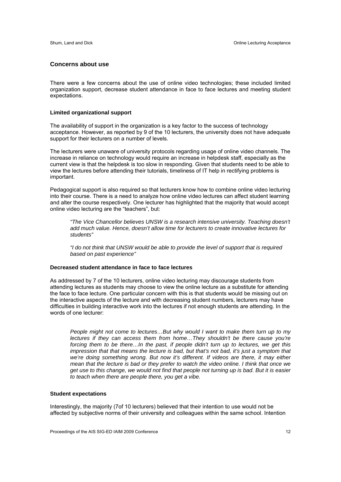#### **Concerns about use**

There were a few concerns about the use of online video technologies; these included limited organization support, decrease student attendance in face to face lectures and meeting student expectations.

#### **Limited organizational support**

The availability of support in the organization is a key factor to the success of technology acceptance. However, as reported by 9 of the 10 lecturers, the university does not have adequate support for their lecturers on a number of levels.

The lecturers were unaware of university protocols regarding usage of online video channels. The increase in reliance on technology would require an increase in helpdesk staff, especially as the current view is that the helpdesk is too slow in responding. Given that students need to be able to view the lectures before attending their tutorials, timeliness of IT help in rectifying problems is important.

Pedagogical support is also required so that lecturers know how to combine online video lecturing into their course. There is a need to analyze how online video lectures can affect student learning and alter the course respectively. One lecturer has highlighted that the majority that would accept online video lecturing are the "teachers", but:

*"The Vice Chancellor believes UNSW is a research intensive university. Teaching doesn't add much value. Hence, doesn't allow time for lecturers to create innovative lectures for students"* 

*"I do not think that UNSW would be able to provide the level of support that is required based on past experience"* 

#### **Decreased student attendance in face to face lectures**

As addressed by 7 of the 10 lecturers, online video lecturing may discourage students from attending lectures as students may choose to view the online lecture as a substitute for attending the face to face lecture. One particular concern with this is that students would be missing out on the interactive aspects of the lecture and with decreasing student numbers, lecturers may have difficulties in building interactive work into the lectures if not enough students are attending. In the words of one lecturer:

*People might not come to lectures…But why would I want to make them turn up to my lectures if they can access them from home…They shouldn't be there cause you're forcing them to be there…In the past, if people didn't turn up to lectures, we get this impression that that means the lecture is bad, but that's not bad, it's just a symptom that* we're doing something wrong. But now it's different. If videos are there, it may either *mean that the lecture is bad or they prefer to watch the video online. I think that once we get use to this change, we would not find that people not turning up is bad. But it is easier to teach when there are people there, you get a vibe.* 

#### **Student expectations**

Interestingly, the majority (7of 10 lecturers) believed that their intention to use would not be affected by subjective norms of their university and colleagues within the same school. Intention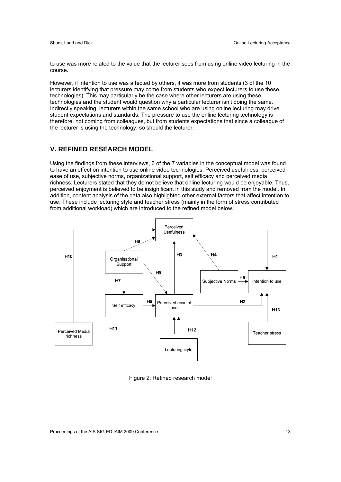to use was more related to the value that the lecturer sees from using online video lecturing in the course.

However, if intention to use was affected by others, it was more from students (3 of the 10 lecturers identifying that pressure may come from students who expect lecturers to use these technologies). This may particularly be the case where other lecturers are using these technologies and the student would question why a particular lecturer isn't doing the same. Indirectly speaking, lecturers within the same school who are using online lecturing may drive student expectations and standards. The pressure to use the online lecturing technology is therefore, not coming from colleagues, but from students expectations that since a colleague of the lecturer is using the technology, so should the lecturer.

# **V. REFINED RESEARCH MODEL**

Using the findings from these interviews, 6 of the 7 variables in the conceptual model was found to have an effect on intention to use online video technologies: Perceived usefulness, perceived ease of use, subjective norms, organizational support, self efficacy and perceived media richness. Lecturers stated that they do not believe that online lecturing would be enjoyable. Thus, perceived enjoyment is believed to be insignificant in this study and removed from the model. In addition, content analysis of the data also highlighted other external factors that affect intention to use. These include lecturing style and teacher stress (mainly in the form of stress contributed from additional workload) which are introduced to the refined model below.



Figure 2: Refined research model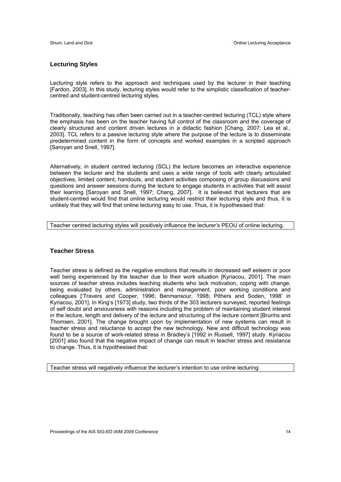#### **Lecturing Styles**

Lecturing style refers to the approach and techniques used by the lecturer in their teaching [Fardon, 2003]. In this study, lecturing styles would refer to the simplistic classification of teachercentred and student-centred lecturing styles.

Traditionally, teaching has often been carried out in a teacher-centred lecturing (TCL) style where the emphasis has been on the teacher having full control of the classroom and the coverage of clearly structured and content driven lectures in a didactic fashion [Chang, 2007; Lea et al., 2003]. TCL refers to a passive lecturing style where the purpose of the lecture is to disseminate predetermined content in the form of concepts and worked examples in a scripted approach [Saroyan and Snell, 1997].

Alternatively, in student centred lecturing (SCL) the lecture becomes an interactive experience between the lecturer and the students and uses a wide range of tools with clearly articulated objectives, limited content, handouts, and student activities composing of group discussions and questions and answer sessions during the lecture to engage students in activities that will assist their learning [Saroyan and Snell, 1997; Chang, 2007]. It is believed that lecturers that are student-centred would find that online lecturing would restrict their lecturing style and thus, it is unlikely that they will find that online lecturing easy to use. Thus, it is hypothesised that:

Teacher centred lecturing styles will positively influence the lecturer's PEOU of online lecturing.

### **Teacher Stress**

Teacher stress is defined as the negative emotions that results in decreased self esteem or poor well being experienced by the teacher due to their work situation [Kyriacou, 2001]. The main sources of teacher stress includes teaching students who lack motivation, coping with change, being evaluated by others, administration and management, poor working conditions and colleagues ['Travers and Cooper, 1996; Benmansour, 1998; Pithers and Soden, 1998' in Kyriacou, 2001]. In King's [1973] study, two thirds of the 303 lecturers surveyed, reported feelings of self doubt and anxiousness with reasons including the problem of maintaining student interest in the lecture, length and delivery of the lecture and structuring of the lecture content [Brunhs and Thomsen, 2001]. The change brought upon by implementation of new systems can result in teacher stress and reluctance to accept the new technology. New and difficult technology was found to be a source of work-related stress in Bradley's [1992 in Russell, 1997] study. Kyriacou [2001] also found that the negative impact of change can result in teacher stress and resistance to change. Thus, it is hypothesised that:

Teacher stress will negatively influence the lecturer's intention to use online lecturing.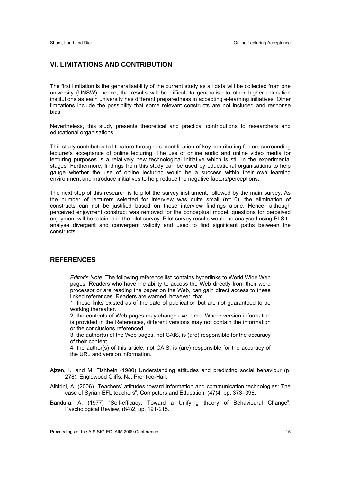# **VI. LIMITATIONS AND CONTRIBUTION**

The first limitation is the generalisability of the current study as all data will be collected from one university (UNSW); hence, the results will be difficult to generalise to other higher education institutions as each university has different preparedness in accepting e-learning initiatives. Other limitations include the possibility that some relevant constructs are not included and response bias.

Nevertheless, this study presents theoretical and practical contributions to researchers and educational organisations.

This study contributes to literature through its identification of key contributing factors surrounding lecturer's acceptance of online lecturing. The use of online audio and online video media for lecturing purposes is a relatively new technological initiative which is still in the experimental stages. Furthermore, findings from this study can be used by educational organisations to help gauge whether the use of online lecturing would be a success within their own learning environment and introduce initiatives to help reduce the negative factors/perceptions.

The next step of this research is to pilot the survey instrument, followed by the main survey. As the number of lecturers selected for interview was quite small (n=10), the elimination of constructs can not be justified based on these interview findings alone. Hence, although perceived enjoyment construct was removed for the conceptual model, questions for perceived enjoyment will be retained in the pilot survey. Pilot survey results would be analysed using PLS to analyse divergent and convergent validity and used to find significant paths between the constructs.

# **REFERENCES**

*Editor's Note:* The following reference list contains hyperlinks to World Wide Web pages. Readers who have the ability to access the Web directly from their word processor or are reading the paper on the Web, can gain direct access to these linked references. Readers are warned, however, that

1. these links existed as of the date of publication but are not guaranteed to be working thereafter.

2. the contents of Web pages may change over time. Where version information is provided in the References, different versions may not contain the information or the conclusions referenced.

3. the author(s) of the Web pages, not CAIS, is (are) responsible for the accuracy of their content.

4. the author(s) of this article, not CAIS, is (are) responsible for the accuracy of the URL and version information.

Ajzen, I., and M. Fishbein (1980) Understanding attitudes and predicting social behaviour (p. 278). Englewood Cliffs, NJ: Prentice-Hall.

Albirini, A. (2006) "Teachers' attitudes toward information and communication technologies: The case of Syrian EFL teachers", Computers and Education, (47)4, pp. 373–398.

Bandura, A. (1977) "Self-efficacy: Toward a Unifying theory of Behavioural Change", Pyschological Review, (84)2, pp. 191-215.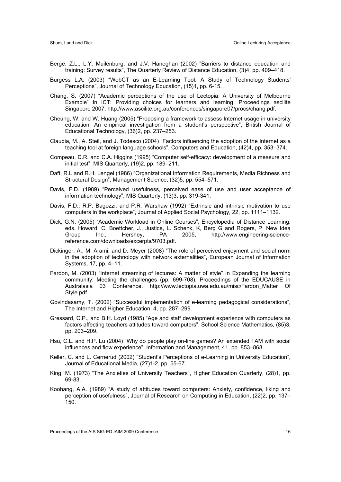- Berge, Z.L., L.Y. Muilenburg, and J.V. Haneghan (2002) "Barriers to distance education and training: Survey results", The Quarterly Review of Distance Education, (3)4, pp. 409–418.
- Burgess L.A. (2003) "WebCT as an E-Learning Tool: A Study of Technology Students' Perceptions", Journal of Technology Education, (15)1, pp. 6-15.
- Chang, S. (2007) "Academic perceptions of the use of Lectopia: A University of Melbourne Example" In ICT: Providing choices for learners and learning. Proceedings ascilite Singapore 2007. http://www.ascilite.org.au/conferences/singapore07/procs/chang.pdf.
- Cheung, W. and W. Huang (2005) "Proposing a framework to assess Internet usage in university education: An empirical investigation from a student's perspective", British Journal of Educational Technology, (36)2, pp. 237–253.
- Claudia, M., A. Steil, and J. Todesco (2004) "Factors influencing the adoption of the Internet as a teaching tool at foreign language schools", Computers and Education, (42)4, pp. 353–374.
- Compeau, D.R. and C.A. Higgins (1995) "Computer self-efficacy: development of a measure and initial test", MIS Quarterly, (19)2, pp. 189–211.
- Daft, R.L and R.H. Lengel (1986) "Organizational Information Requirements, Media Richness and Structural Design", Management Science, (32)5, pp. 554–571.
- Davis, F.D. (1989) "Perceived usefulness, perceived ease of use and user acceptance of information technology", MIS Quarterly, (13)3, pp. 319-341.
- Davis, F.D., R.P. Bagozzi, and P.R. Warshaw (1992) "Extrinsic and intrinsic motivation to use computers in the workplace", Journal of Applied Social Psychology, 22, pp. 1111–1132.
- Dick, G.N. (2005) "Academic Workload in Online Courses", Encyclopedia of Distance Learning, eds. Howard, C, Boettcher, J., Justice, L. Schenk, K, Berg G and Rogers, P. New Idea Group Inc., Hershey, PA 2005, http://www.engineering-sciencereference.com/downloads/excerpts/9703.pdf.
- Dickinger, A., M. Arami, and D. Meyer (2008) "The role of perceived enjoyment and social norm in the adoption of technology with network externalities", European Journal of Information Systems, 17, pp. 4–11.
- Fardon, M. (2003) "Internet streaming of lectures: A matter of style" In Expanding the learning community: Meeting the challenges (pp. 699-708). Proceedings of the EDUCAUSE in Australasia 03 Conference. http://www.lectopia.uwa.edu.au/misc/Fardon Matter Of Style.pdf.
- Govindasamy, T. (2002) "Successful implementation of e-learning pedagogical considerations", The Internet and Higher Education, 4, pp. 287–299.
- Gressard, C.P., and B.H. Loyd (1985) "Age and staff development experience with computers as factors affecting teachers attitudes toward computers", School Science Mathematics, (85)3, pp. 203–209.
- Hsu, C.L. and H.P. Lu (2004) "Why do people play on-line games? An extended TAM with social influences and flow experience", Information and Management, 41, pp. 853–868.
- Keller, C. and L. Cernerud (2002) "Student's Perceptions of e-Learning in University Education", Journal of Educational Media, (27)1-2, pp. 55-67.
- King, M. (1973) "The Anxieties of University Teachers", Higher Education Quarterly, (28)1, pp. 69-83.
- Koohang, A.A. (1989) "A study of attitudes toward computers: Anxiety, confidence, liking and perception of usefulness", Journal of Research on Computing in Education, (22)2, pp. 137– 150.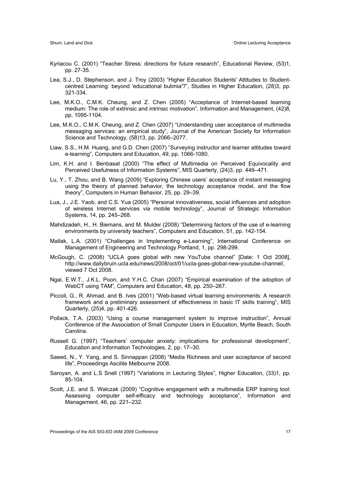- Kyriacou C. (2001) "Teacher Stress: directions for future research", Educational Review, (53)1, pp. 27-35.
- Lea, S.J., D. Stephenson, and J. Troy (2003) "Higher Education Students' Attitudes to Studentcentred Learning: beyond 'educational bulimia'?", Studies in Higher Education, (28)3, pp. 321-334.
- Lee, M.K.O., C.M.K. Cheung, and Z. Chen (2005) "Acceptance of Internet-based learning medium: The role of extrinsic and intrinsic motivation", Information and Management, (42)8, pp. 1095-1104.
- Lee, M.K.O., C.M.K. Cheung, and Z. Chen (2007) "Understanding user acceptance of multimedia messaging services: an empirical study", Journal of the American Society for Information Science and Technology, (58)13, pp. 2066–2077.
- Liaw, S.S., H.M. Huang, and G.D. Chen (2007) "Surveying instructor and learner attitudes toward e-learning", Computers and Education, 49, pp. 1066-1080.
- Lim, K.H. and I. Benbasat (2000) "The effect of Multimedia on Perceived Equivocality and Perceived Usefulness of Information Systems", MIS Quarterly, (24)3, pp. 449–471.
- Lu, Y., T. Zhou, and B. Wang (2009) "Exploring Chinese users' acceptance of instant messaging using the theory of planned behavior, the technology acceptance model, and the flow theory", Computers in Human Behavior, 25, pp. 29–39.
- Lua, J., J.E. Yaob, and C.S. Yua (2005) "Personal innovativeness, social influences and adoption of wireless Internet services via mobile technology", Journal of Strategic Information Systems, 14, pp. 245–268.
- Mahdizadeh, H., H. Biemans, and M. Mulder (2008) "Determining factors of the use of e-learning environments by university teachers", Computers and Education, 51, pp. 142-154.
- Mallak, L.A. (2001) "Challenges in Implementing e-Learning", International Conference on Management of Engineering and Technology Portland, 1, pp. 298-299.
- McGough, C. (2008) "UCLA goes global with new YouTube channel" [Date: 1 Oct 2008], http://www.dailybruin.ucla.edu/news/2008/oct/01/ucla-goes-global-new-youtube-channel/, viewed 7 Oct 2008.
- Ngai, E.W.T., J.K.L. Poon, and Y.H.C. Chan (2007) "Empirical examination of the adoption of WebCT using TAM", Computers and Education, 48, pp. 250–267.
- Piccoli, G., R. Ahmad, and B. Ives (2001) "Web-based virtual learning environments: A research framework and a preliminary assessment of effectiveness in basic IT skills training", MIS Quarterly, (25)4, pp. 401-426.
- Pollack, T.A. (2003) "Using a course management system to improve instruction", Annual Conference of the Association of Small Computer Users in Education, Myrtle Beach, South Carolina.
- Russell G. (1997) "Teachers' computer anxiety: implications for professional development", Education and Information Technologies, 2, pp. 17–30.
- Saeed, N., Y. Yang, and S. Sinnappan (2008) "Media Richness and user acceptance of second life", Proceedings Ascilite Melbourne 2008.
- Saroyan, A. and L.S Snell (1997) "Variations in Lecturing Styles", Higher Education, (33)1, pp. 85-104.
- Scott, J.E. and S. Walczak (2009) "Cognitive engagement with a multimedia ERP training tool: Assessing computer self-efficacy and technology acceptance", Information and Management, 46, pp. 221–232.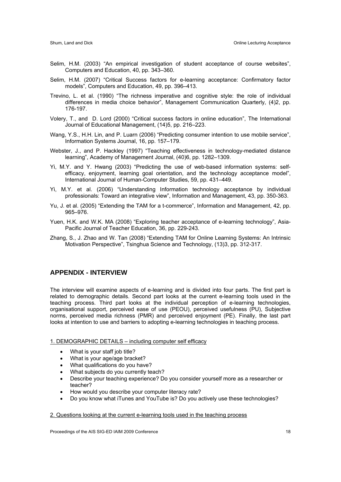- Selim, H.M. (2003) "An empirical investigation of student acceptance of course websites", Computers and Education, 40, pp. 343–360.
- Selim, H.M. (2007) "Critical Success factors for e-learning acceptance: Confirmatory factor models", Computers and Education, 49, pp. 396–413.
- Trevino, L. et al. (1990) "The richness imperative and cognitive style: the role of individual differences in media choice behavior", Management Communication Quarterly, (4)2, pp. 176-197.
- Volery, T., and D. Lord (2000) "Critical success factors in online education", The International Journal of Educational Management, (14)5, pp. 216–223.
- Wang, Y.S., H.H. Lin, and P. Luarn (2006) "Predicting consumer intention to use mobile service", Information Systems Journal, 16, pp. 157–179.
- Webster, J., and P. Hackley (1997) "Teaching effectiveness in technology-mediated distance learning", Academy of Management Journal, (40)6, pp. 1282–1309.
- Yi, M.Y. and Y. Hwang (2003) "Predicting the use of web-based information systems: selfefficacy, enjoyment, learning goal orientation, and the technology acceptance model", International Journal of Human-Computer Studies, 59, pp. 431–449.
- Yi, M.Y. et al. (2006) "Understanding Information technology acceptance by individual professionals: Toward an integrative view", Information and Management, 43, pp. 350-363.
- Yu, J. et al. (2005) "Extending the TAM for a t-commerce", Information and Management, 42, pp. 965–976.
- Yuen, H.K. and W.K. MA (2008) "Exploring teacher acceptance of e-learning technology", Asia-Pacific Journal of Teacher Education, 36, pp. 229-243.
- Zhang, S., J. Zhao and W. Tan (2008) "Extending TAM for Online Learning Systems: An Intrinsic Motivation Perspective", Tsinghua Science and Technology, (13)3, pp. 312-317.

# **APPENDIX - INTERVIEW**

The interview will examine aspects of e-learning and is divided into four parts. The first part is related to demographic details. Second part looks at the current e-learning tools used in the teaching process. Third part looks at the individual perception of e-learning technologies, organisational support, perceived ease of use (PEOU), perceived usefulness (PU), Subjective norms, perceived media richness (PMR) and perceived enjoyment (PE). Finally, the last part looks at intention to use and barriers to adopting e-learning technologies in teaching process.

#### 1. DEMOGRAPHIC DETAILS – including computer self efficacy

- What is your staff job title?
- What is your age/age bracket?
- What qualifications do you have?
- What subjects do you currently teach?
- Describe your teaching experience? Do you consider yourself more as a researcher or teacher?
- How would you describe your computer literacy rate?
- Do you know what iTunes and YouTube is? Do you actively use these technologies?

# 2. Questions looking at the current e-learning tools used in the teaching process

Proceedings of the AIS SIG-ED IAIM 2009 Conference 18 18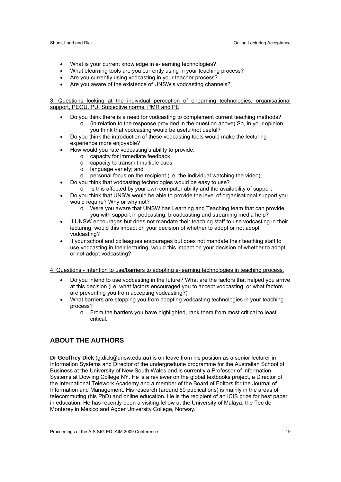- What is your current knowledge in e-learning technologies?
- What elearning tools are you currently using in your teaching process?
- Are you currently using vodcasting in your teacher process?
- Are you aware of the existence of UNSW's vodcasting channels?

3. Questions looking at the individual perception of e-learning technologies, organisational support, PEOU, PU, Subjective norms, PMR and PE

- Do you think there is a need for vodcasting to complement current teaching methods?
	- $\circ$  (in relation to the response provided in the question above) So, in your opinion, you think that vodcasting would be useful/not useful?
- Do you think the introduction of these vodcasting tools would make the lecturing experience more enjoyable?
- How would you rate vodcasting's ability to provide:
	- o capacity for immediate feedback
	- o capacity to transmit multiple cues,
	- o language variety; and
	- $\circ$  personal focus on the recipient (i.e. the individual watching the video)
- Do you think that vodcasting technologies would be easy to use?
- $\circ$  is this affected by your own computer ability and the availability of support
- Do you think that UNSW would be able to provide the level of organisational support you would require? Why or why not?
	- o Were you aware that UNSW has Learning and Teaching team that can provide you with support in podcasting, broadcasting and streaming media help?
- If UNSW encourages but does not mandate their teaching staff to use vodcasting in their lecturing, would this impact on your decision of whether to adopt or not adopt vodcasting?
- If your school and colleagues encourages but does not mandate their teaching staff to use vodcasting in their lecturing, would this impact on your decision of whether to adopt or not adopt vodcasting?

#### 4. Questions - Intention to use/barriers to adopting e-learning technologies in teaching process.

- Do you intend to use vodcasting in the future? What are the factors that helped you arrive at this decision (i.e. what factors encouraged you to accept vodcasting, or what factors are preventing you from accepting vodcasting?)
- What barriers are stopping you from adopting vodcasting technologies in your teaching process?
	- o From the barriers you have highlighted, rank them from most critical to least critical.

# **ABOUT THE AUTHORS**

**Dr Geoffrey Dick** (g.dick@unsw.edu.au) is on leave from his position as a senior lecturer in Information Systems and Director of the undergraduate programme for the Australian School of Business at the University of New South Wales and is currently a Professor of Information Systems at Dowling College NY. He is a reviewer on the global textbooks project, a Director of the International Telework Academy and a member of the Board of Editors for the Journal of Information and Management. His research (around 50 publications) is mainly in the areas of telecommuting (his PhD) and online education. He is the recipient of an ICIS prize for best paper in education. He has recently been a visiting fellow at the University of Malaya, the Tec de Monterey in Mexico and Agder University College, Norway.